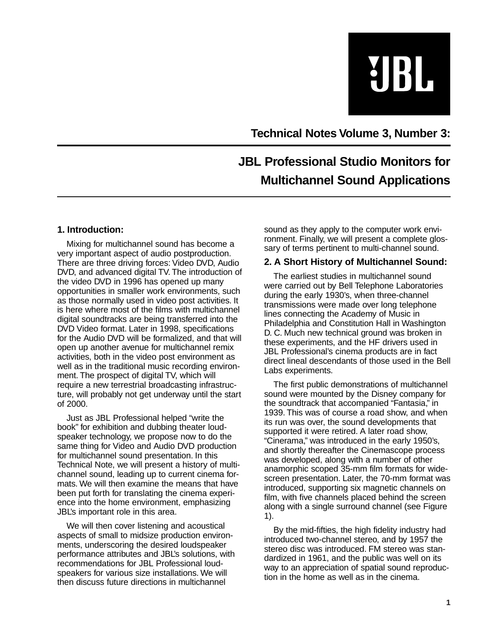UBL

**Technical Notes Volume 3, Number 3:**

# **JBL Professional Studio Monitors for Multichannel Sound Applications**

## **1. Introduction:**

Mixing for multichannel sound has become a very important aspect of audio postproduction. There are three driving forces: Video DVD, Audio DVD, and advanced digital TV. The introduction of the video DVD in 1996 has opened up many opportunities in smaller work environments, such as those normally used in video post activities. It is here where most of the films with multichannel digital soundtracks are being transferred into the DVD Video format. Later in 1998, specifications for the Audio DVD will be formalized, and that will open up another avenue for multichannel remix activities, both in the video post environment as well as in the traditional music recording environment. The prospect of digital TV, which will require a new terrestrial broadcasting infrastructure, will probably not get underway until the start of 2000.

Just as JBL Professional helped "write the book" for exhibition and dubbing theater loudspeaker technology, we propose now to do the same thing for Video and Audio DVD production for multichannel sound presentation. In this Technical Note, we will present a history of multichannel sound, leading up to current cinema formats. We will then examine the means that have been put forth for translating the cinema experience into the home environment, emphasizing JBL's important role in this area.

We will then cover listening and acoustical aspects of small to midsize production environments, underscoring the desired loudspeaker performance attributes and JBL's solutions, with recommendations for JBL Professional loudspeakers for various size installations. We will then discuss future directions in multichannel

sound as they apply to the computer work environment. Finally, we will present a complete glossary of terms pertinent to multi-channel sound.

## **2. A Short History of Multichannel Sound:**

The earliest studies in multichannel sound were carried out by Bell Telephone Laboratories during the early 1930's, when three-channel transmissions were made over long telephone lines connecting the Academy of Music in Philadelphia and Constitution Hall in Washington D. C. Much new technical ground was broken in these experiments, and the HF drivers used in JBL Professional's cinema products are in fact direct lineal descendants of those used in the Bell Labs experiments.

The first public demonstrations of multichannel sound were mounted by the Disney company for the soundtrack that accompanied "Fantasia," in 1939. This was of course a road show, and when its run was over, the sound developments that supported it were retired. A later road show, "Cinerama," was introduced in the early 1950's, and shortly thereafter the Cinemascope process was developed, along with a number of other anamorphic scoped 35-mm film formats for widescreen presentation. Later, the 70-mm format was introduced, supporting six magnetic channels on film, with five channels placed behind the screen along with a single surround channel (see Figure 1).

By the mid-fifties, the high fidelity industry had introduced two-channel stereo, and by 1957 the stereo disc was introduced. FM stereo was standardized in 1961, and the public was well on its way to an appreciation of spatial sound reproduction in the home as well as in the cinema.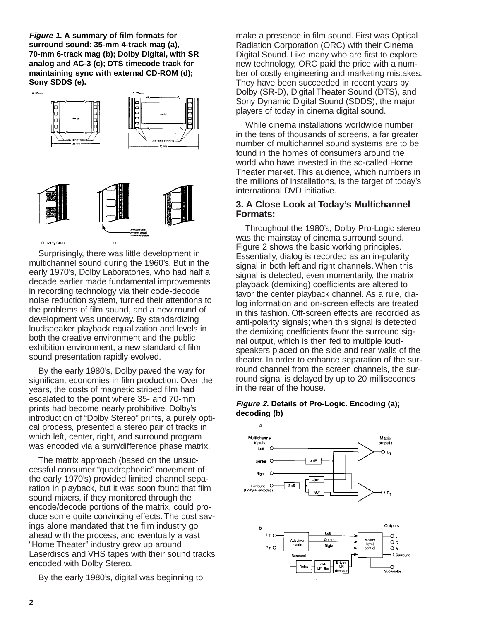**Figure 1. A summary of film formats for surround sound: 35-mm 4-track mag (a), 70-mm 6-track mag (b); Dolby Digital, with SR analog and AC-3 (c); DTS timecode track for maintaining sync with external CD-ROM (d); Sony SDDS (e).**



Surprisingly, there was little development in multichannel sound during the 1960's. But in the early 1970's, Dolby Laboratories, who had half a decade earlier made fundamental improvements in recording technology via their code-decode noise reduction system, turned their attentions to the problems of film sound, and a new round of development was underway. By standardizing loudspeaker playback equalization and levels in both the creative environment and the public exhibition environment, a new standard of film sound presentation rapidly evolved.

By the early 1980's, Dolby paved the way for significant economies in film production. Over the years, the costs of magnetic striped film had escalated to the point where 35- and 70-mm prints had become nearly prohibitive. Dolby's introduction of "Dolby Stereo" prints, a purely optical process, presented a stereo pair of tracks in which left, center, right, and surround program was encoded via a sum/difference phase matrix.

The matrix approach (based on the unsuccessful consumer "quadraphonic" movement of the early 1970's) provided limited channel separation in playback, but it was soon found that film sound mixers, if they monitored through the encode/decode portions of the matrix, could produce some quite convincing effects. The cost savings alone mandated that the film industry go ahead with the process, and eventually a vast "Home Theater" industry grew up around Laserdiscs and VHS tapes with their sound tracks encoded with Dolby Stereo.

By the early 1980's, digital was beginning to

make a presence in film sound. First was Optical Radiation Corporation (ORC) with their Cinema Digital Sound. Like many who are first to explore new technology, ORC paid the price with a number of costly engineering and marketing mistakes. They have been succeeded in recent years by Dolby (SR-D), Digital Theater Sound (DTS), and Sony Dynamic Digital Sound (SDDS), the major players of today in cinema digital sound.

While cinema installations worldwide number in the tens of thousands of screens, a far greater number of multichannel sound systems are to be found in the homes of consumers around the world who have invested in the so-called Home Theater market. This audience, which numbers in the millions of installations, is the target of today's international DVD initiative.

### **3. A Close Look at Today's Multichannel Formats:**

Throughout the 1980's, Dolby Pro-Logic stereo was the mainstay of cinema surround sound. Figure 2 shows the basic working principles. Essentially, dialog is recorded as an in-polarity signal in both left and right channels. When this signal is detected, even momentarily, the matrix playback (demixing) coefficients are altered to favor the center playback channel. As a rule, dialog information and on-screen effects are treated in this fashion. Off-screen effects are recorded as anti-polarity signals; when this signal is detected the demixing coefficients favor the surround signal output, which is then fed to multiple loudspeakers placed on the side and rear walls of the theater. In order to enhance separation of the surround channel from the screen channels, the surround signal is delayed by up to 20 milliseconds in the rear of the house.

### **Figure 2. Details of Pro-Logic. Encoding (a); decoding (b)**

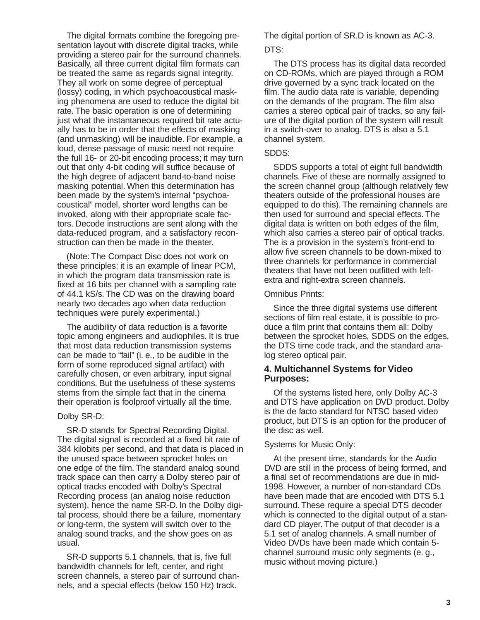The digital formats combine the foregoing presentation layout with discrete digital tracks, while providing a stereo pair for the surround channels. Basically, all three current digital film formats can be treated the same as regards signal integrity. They all work on some degree of perceptual (lossy) coding, in which psychoacoustical masking phenomena are used to reduce the digital bit rate. The basic operation is one of determining just what the instantaneous required bit rate actually has to be in order that the effects of masking (and unmasking) will be inaudible. For example, a loud, dense passage of music need not require the full 16- or 20-bit encoding process; it may turn out that only 4-bit coding will suffice because of the high degree of adjacent band-to-band noise masking potential. When this determination has been made by the system's internal "psychoacoustical" model, shorter word lengths can be invoked, along with their appropriate scale factors. Decode instructions are sent along with the data-reduced program, and a satisfactory reconstruction can then be made in the theater.

(Note: The Compact Disc does not work on these principles; it is an example of linear PCM, in which the program data transmission rate is fixed at 16 bits per channel with a sampling rate of 44.1 kS/s. The CD was on the drawing board nearly two decades ago when data reduction techniques were purely experimental.)

The audibility of data reduction is a favorite topic among engineers and audiophiles. It is true that most data reduction transmission systems can be made to "fail" (i. e., to be audible in the form of some reproduced signal artifact) with carefully chosen, or even arbitrary, input signal conditions. But the usefulness of these systems stems from the simple fact that in the cinema their operation is foolproof virtually all the time.

#### Dolby SR-D:

SR-D stands for Spectral Recording Digital. The digital signal is recorded at a fixed bit rate of 384 kilobits per second, and that data is placed in the unused space between sprocket holes on one edge of the film. The standard analog sound track space can then carry a Dolby stereo pair of optical tracks encoded with Dolby's Spectral Recording process (an analog noise reduction system), hence the name SR-D. In the Dolby digital process, should there be a failure, momentary or long-term, the system will switch over to the analog sound tracks, and the show goes on as usual.

SR-D supports 5.1 channels, that is, five full bandwidth channels for left, center, and right screen channels, a stereo pair of surround channels, and a special effects (below 150 Hz) track.

The digital portion of SR.D is known as AC-3.

## DTS:

The DTS process has its digital data recorded on CD-ROMs, which are played through a ROM drive governed by a sync track located on the film. The audio data rate is variable, depending on the demands of the program. The film also carries a stereo optical pair of tracks, so any failure of the digital portion of the system will result in a switch-over to analog. DTS is also a 5.1 channel system.

#### SDDS:

SDDS supports a total of eight full bandwidth channels. Five of these are normally assigned to the screen channel group (although relatively few theaters outside of the professional houses are equipped to do this). The remaining channels are then used for surround and special effects. The digital data is written on both edges of the film, which also carries a stereo pair of optical tracks. The is a provision in the system's front-end to allow five screen channels to be down-mixed to three channels for performance in commercial theaters that have not been outfitted with leftextra and right-extra screen channels.

#### Omnibus Prints:

Since the three digital systems use different sections of film real estate, it is possible to produce a film print that contains them all: Dolby between the sprocket holes, SDDS on the edges, the DTS time code track, and the standard analog stereo optical pair.

### **4. Multichannel Systems for Video Purposes:**

Of the systems listed here, only Dolby AC-3 and DTS have application on DVD product. Dolby is the de facto standard for NTSC based video product, but DTS is an option for the producer of the disc as well.

### Systems for Music Only:

At the present time, standards for the Audio DVD are still in the process of being formed, and a final set of recommendations are due in mid-1998. However, a number of non-standard CDs have been made that are encoded with DTS 5.1 surround. These require a special DTS decoder which is connected to the digital output of a standard CD player. The output of that decoder is a 5.1 set of analog channels. A small number of Video DVDs have been made which contain 5 channel surround music only segments (e. g., music without moving picture.)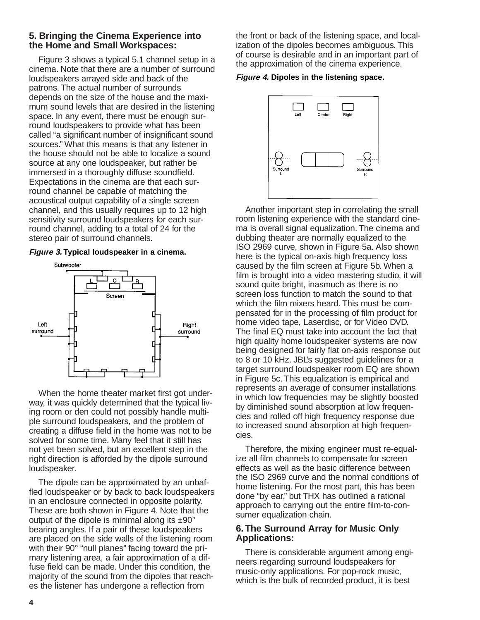## **5. Bringing the Cinema Experience into the Home and Small Workspaces:**

Figure 3 shows a typical 5.1 channel setup in a cinema. Note that there are a number of surround loudspeakers arrayed side and back of the patrons. The actual number of surrounds depends on the size of the house and the maximum sound levels that are desired in the listening space. In any event, there must be enough surround loudspeakers to provide what has been called "a significant number of insignificant sound sources." What this means is that any listener in the house should not be able to localize a sound source at any one loudspeaker, but rather be immersed in a thoroughly diffuse soundfield. Expectations in the cinema are that each surround channel be capable of matching the acoustical output capability of a single screen channel, and this usually requires up to 12 high sensitivity surround loudspeakers for each surround channel, adding to a total of 24 for the stereo pair of surround channels.

### **Figure 3. Typical loudspeaker in a cinema.**



When the home theater market first got underway, it was quickly determined that the typical living room or den could not possibly handle multiple surround loudspeakers, and the problem of creating a diffuse field in the home was not to be solved for some time. Many feel that it still has not yet been solved, but an excellent step in the right direction is afforded by the dipole surround loudspeaker.

The dipole can be approximated by an unbaffled loudspeaker or by back to back loudspeakers in an enclosure connected in opposite polarity. These are both shown in Figure 4. Note that the output of the dipole is minimal along its  $\pm 90^\circ$ bearing angles. If a pair of these loudspeakers are placed on the side walls of the listening room with their 90° "null planes" facing toward the primary listening area, a fair approximation of a diffuse field can be made. Under this condition, the majority of the sound from the dipoles that reaches the listener has undergone a reflection from

the front or back of the listening space, and localization of the dipoles becomes ambiguous. This of course is desirable and in an important part of the approximation of the cinema experience.

#### **Figure 4. Dipoles in the listening space.**



Another important step in correlating the small room listening experience with the standard cinema is overall signal equalization. The cinema and dubbing theater are normally equalized to the ISO 2969 curve, shown in Figure 5a. Also shown here is the typical on-axis high frequency loss caused by the film screen at Figure 5b. When a film is brought into a video mastering studio, it will sound quite bright, inasmuch as there is no screen loss function to match the sound to that which the film mixers heard. This must be compensated for in the processing of film product for home video tape, Laserdisc, or for Video DVD. The final EQ must take into account the fact that high quality home loudspeaker systems are now being designed for fairly flat on-axis response out to 8 or 10 kHz. JBL's suggested guidelines for a target surround loudspeaker room EQ are shown in Figure 5c. This equalization is empirical and represents an average of consumer installations in which low frequencies may be slightly boosted by diminished sound absorption at low frequencies and rolled off high frequency response due to increased sound absorption at high frequencies.

Therefore, the mixing engineer must re-equalize all film channels to compensate for screen effects as well as the basic difference between the ISO 2969 curve and the normal conditions of home listening. For the most part, this has been done "by ear," but THX has outlined a rational approach to carrying out the entire film-to-consumer equalization chain.

## **6. The Surround Array for Music Only Applications:**

There is considerable argument among engineers regarding surround loudspeakers for music-only applications. For pop-rock music, which is the bulk of recorded product, it is best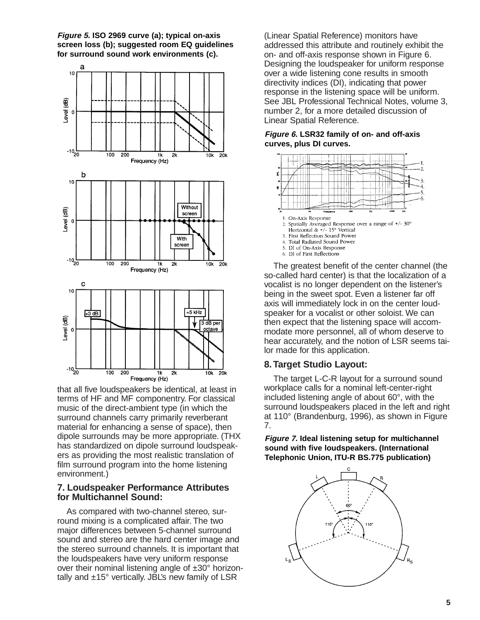**Figure 5. ISO 2969 curve (a); typical on-axis screen loss (b); suggested room EQ guidelines for surround sound work environments (c).**



that all five loudspeakers be identical, at least in terms of HF and MF componentry. For classical music of the direct-ambient type (in which the surround channels carry primarily reverberant material for enhancing a sense of space), then dipole surrounds may be more appropriate. (THX has standardized on dipole surround loudspeakers as providing the most realistic translation of film surround program into the home listening environment.)

## **7. Loudspeaker Performance Attributes for Multichannel Sound:**

As compared with two-channel stereo, surround mixing is a complicated affair. The two major differences between 5-channel surround sound and stereo are the hard center image and the stereo surround channels. It is important that the loudspeakers have very uniform response over their nominal listening angle of ±30° horizontally and  $±15^\circ$  vertically. JBL's new family of LSR

(Linear Spatial Reference) monitors have addressed this attribute and routinely exhibit the on- and off-axis response shown in Figure 6. Designing the loudspeaker for uniform response over a wide listening cone results in smooth directivity indices (DI), indicating that power response in the listening space will be uniform. See JBL Professional Technical Notes, volume 3, number 2, for a more detailed discussion of Linear Spatial Reference.

### **Figure 6. LSR32 family of on- and off-axis curves, plus DI curves.**



The greatest benefit of the center channel (the so-called hard center) is that the localization of a vocalist is no longer dependent on the listener's being in the sweet spot. Even a listener far off axis will immediately lock in on the center loudspeaker for a vocalist or other soloist. We can then expect that the listening space will accommodate more personnel, all of whom deserve to hear accurately, and the notion of LSR seems tailor made for this application.

## **8. Target Studio Layout:**

The target L-C-R layout for a surround sound workplace calls for a nominal left-center-right included listening angle of about 60°, with the surround loudspeakers placed in the left and right at 110° (Brandenburg, 1996), as shown in Figure 7.

**Figure 7. Ideal listening setup for multichannel sound with five loudspeakers. (International Telephonic Union, ITU-R BS.775 publication)**

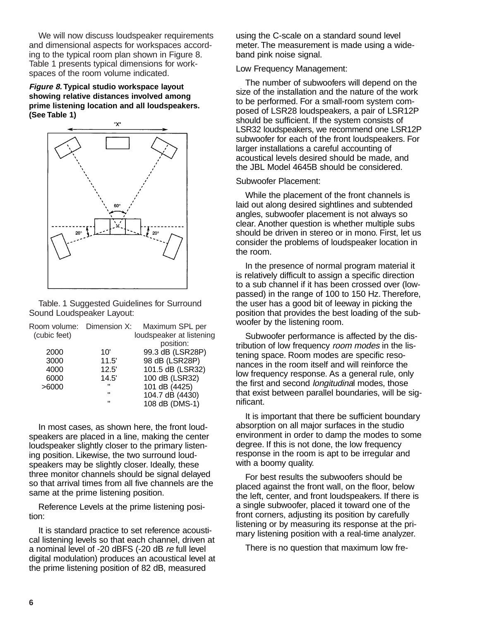We will now discuss loudspeaker requirements and dimensional aspects for workspaces according to the typical room plan shown in Figure 8. Table 1 presents typical dimensions for workspaces of the room volume indicated.

**Figure 8. Typical studio workspace layout showing relative distances involved among prime listening location and all loudspeakers. (See Table 1)**



Table. 1 Suggested Guidelines for Surround Sound Loudspeaker Layout:

| Room volume: Dimension X: |              | Maximum SPL per          |
|---------------------------|--------------|--------------------------|
| (cubic feet)              |              | loudspeaker at listening |
|                           |              | position:                |
| 2000                      | 10'          | 99.3 dB (LSR28P)         |
| 3000                      | 11.5'        | 98 dB (LSR28P)           |
| 4000                      | 12.5'        | 101.5 dB (LSR32)         |
| 6000                      | 14.5'        | 100 dB (LSR32)           |
| >6000                     | $\mathbf{H}$ | 101 dB (4425)            |
|                           | $\mathbf{u}$ | 104.7 dB (4430)          |
|                           | π            | 108 dB (DMS-1)           |
|                           |              |                          |

In most cases, as shown here, the front loudspeakers are placed in a line, making the center loudspeaker slightly closer to the primary listening position. Likewise, the two surround loudspeakers may be slightly closer. Ideally, these three monitor channels should be signal delayed so that arrival times from all five channels are the same at the prime listening position.

Reference Levels at the prime listening position:

It is standard practice to set reference acoustical listening levels so that each channel, driven at a nominal level of -20 dBFS (-20 dB re full level digital modulation) produces an acoustical level at the prime listening position of 82 dB, measured

using the C-scale on a standard sound level meter. The measurement is made using a wideband pink noise signal.

#### Low Frequency Management:

The number of subwoofers will depend on the size of the installation and the nature of the work to be performed. For a small-room system composed of LSR28 loudspeakers, a pair of LSR12P should be sufficient. If the system consists of LSR32 loudspeakers, we recommend one LSR12P subwoofer for each of the front loudspeakers. For larger installations a careful accounting of acoustical levels desired should be made, and the JBL Model 4645B should be considered.

#### Subwoofer Placement:

While the placement of the front channels is laid out along desired sightlines and subtended angles, subwoofer placement is not always so clear. Another question is whether multiple subs should be driven in stereo or in mono. First, let us consider the problems of loudspeaker location in the room.

In the presence of normal program material it is relatively difficult to assign a specific direction to a sub channel if it has been crossed over (lowpassed) in the range of 100 to 150 Hz. Therefore, the user has a good bit of leeway in picking the position that provides the best loading of the subwoofer by the listening room.

Subwoofer performance is affected by the distribution of low frequency room modes in the listening space. Room modes are specific resonances in the room itself and will reinforce the low frequency response. As a general rule, only the first and second longitudinal modes, those that exist between parallel boundaries, will be significant.

It is important that there be sufficient boundary absorption on all major surfaces in the studio environment in order to damp the modes to some degree. If this is not done, the low frequency response in the room is apt to be irregular and with a boomy quality.

For best results the subwoofers should be placed against the front wall, on the floor, below the left, center, and front loudspeakers. If there is a single subwoofer, placed it toward one of the front corners, adjusting its position by carefully listening or by measuring its response at the primary listening position with a real-time analyzer.

There is no question that maximum low fre-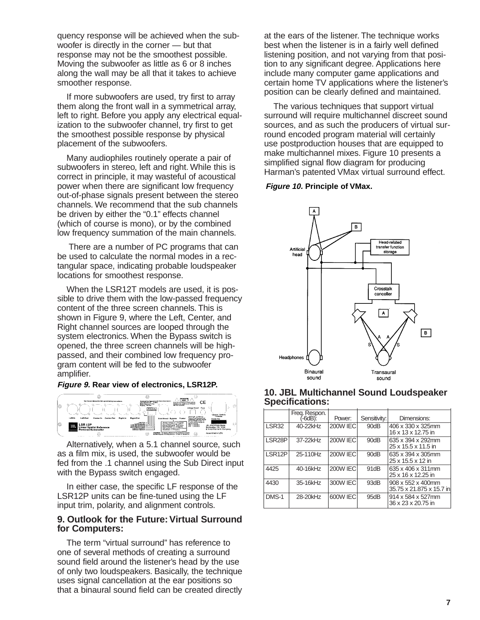quency response will be achieved when the subwoofer is directly in the corner — but that response may not be the smoothest possible. Moving the subwoofer as little as 6 or 8 inches along the wall may be all that it takes to achieve smoother response.

If more subwoofers are used, try first to array them along the front wall in a symmetrical array, left to right. Before you apply any electrical equalization to the subwoofer channel, try first to get the smoothest possible response by physical placement of the subwoofers.

Many audiophiles routinely operate a pair of subwoofers in stereo, left and right. While this is correct in principle, it may wasteful of acoustical power when there are significant low frequency out-of-phase signals present between the stereo channels. We recommend that the sub channels be driven by either the "0.1" effects channel (which of course is mono), or by the combined low frequency summation of the main channels.

There are a number of PC programs that can be used to calculate the normal modes in a rectangular space, indicating probable loudspeaker locations for smoothest response.

When the LSR12T models are used, it is possible to drive them with the low-passed frequency content of the three screen channels. This is shown in Figure 9, where the Left, Center, and Right channel sources are looped through the system electronics. When the Bypass switch is opened, the three screen channels will be highpassed, and their combined low frequency program content will be fed to the subwoofer amplifier.

#### **Figure 9. Rear view of electronics, LSR12P.**



Alternatively, when a 5.1 channel source, such as a film mix, is used, the subwoofer would be fed from the .1 channel using the Sub Direct input with the Bypass switch engaged.

In either case, the specific LF response of the LSR12P units can be fine-tuned using the LF input trim, polarity, and alignment controls.

### **9. Outlook for the Future: Virtual Surround for Computers:**

The term "virtual surround" has reference to one of several methods of creating a surround sound field around the listener's head by the use of only two loudspeakers. Basically, the technique uses signal cancellation at the ear positions so that a binaural sound field can be created directly

at the ears of the listener. The technique works best when the listener is in a fairly well defined listening position, and not varying from that position to any significant degree. Applications here include many computer game applications and certain home TV applications where the listener's position can be clearly defined and maintained.

The various techniques that support virtual surround will require multichannel discreet sound sources, and as such the producers of virtual surround encoded program material will certainly use postproduction houses that are equipped to make multichannel mixes. Figure 10 presents a simplified signal flow diagram for producing Harman's patented VMax virtual surround effect.

#### **Figure 10. Principle of VMax.**



|                     | Freg. Respon.<br>(-6dB): | Power:          | Sensitivity:     | Dimensions:                                   |  |  |
|---------------------|--------------------------|-----------------|------------------|-----------------------------------------------|--|--|
| <b>ISR32</b>        | 40-22kHz                 | <b>200W IEC</b> | 90dB             | 406 x 330 x 325mm<br>16 x 13 x 12.75 in       |  |  |
| LSR <sub>28</sub> P | 37-22kHz                 | <b>200W IEC</b> | 90dB             | 635 x 394 x 292mm<br>25 x 15.5 x 11.5 in      |  |  |
| LSR12P              | 25-110Hz                 | <b>200W IEC</b> | 90dB             | 635 x 394 x 305mm<br>25 x 15.5 x 12 in        |  |  |
| 4425                | 40-16kHz                 | <b>200W IEC</b> | 91 <sub>dB</sub> | 635 x 406 x 311 mm<br>25 x 16 x 12.25 in      |  |  |
| 4430                | 35-16kHz                 | 300W IEC        | 93dB             | 908 x 552 x 400mm<br>35.75 x 21.875 x 15.7 in |  |  |
| DMS-1               | 28-20kHz                 | 600W IEC        | 95dB             | 914 x 584 x 527mm<br>36 x 23 x 20.75 in       |  |  |

#### **10. JBL Multichannel Sound Loudspeaker Specifications:**